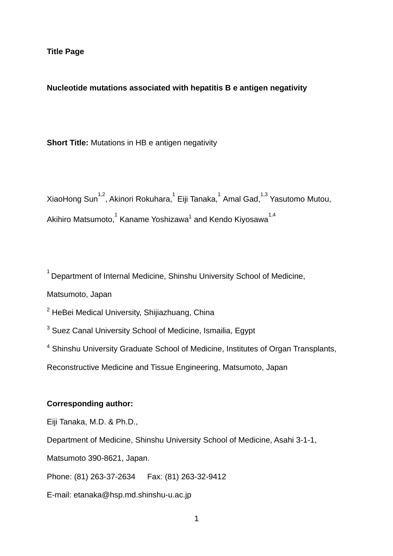### **Nucleotide mutations associated with hepatitis B e antigen negativity**

**Short Title:** Mutations in HB e antigen negativity

XiaoHong Sun $^{1,2}$ , Akinori Rokuhara, $^{1}$  Eiji Tanaka, $^{1}$  Amal Gad, $^{1,3}$  Yasutomo Mutou, Akihiro Matsumoto, $^\text{1}$  Kaname Yoshizawa $^\text{1}$  and Kendo Kiyosawa $^\text{1,4}$ 

 $1$  Department of Internal Medicine, Shinshu University School of Medicine,

Matsumoto, Japan

 $2$  HeBei Medical University, Shijiazhuang, China

<sup>3</sup> Suez Canal University School of Medicine, Ismailia, Egypt

<sup>4</sup> Shinshu University Graduate School of Medicine, Institutes of Organ Transplants,

Reconstructive Medicine and Tissue Engineering, Matsumoto, Japan

## **Corresponding author:**

Eiji Tanaka, M.D. & Ph.D.,

Department of Medicine, Shinshu University School of Medicine, Asahi 3-1-1,

Matsumoto 390-8621, Japan.

Phone: (81) 263-37-2634 Fax: (81) 263-32-9412

E-mail: etanaka@hsp.md.shinshu-u.ac.jp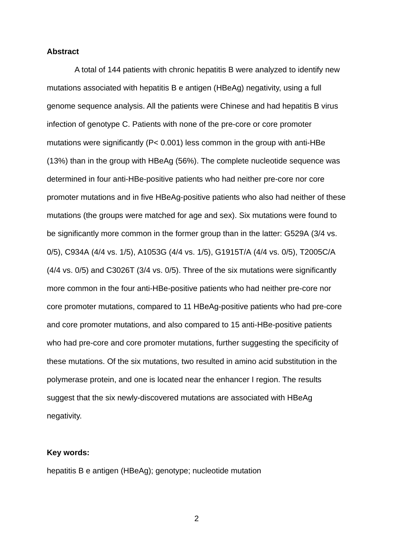#### **Abstract**

A total of 144 patients with chronic hepatitis B were analyzed to identify new mutations associated with hepatitis B e antigen (HBeAg) negativity, using a full genome sequence analysis. All the patients were Chinese and had hepatitis B virus infection of genotype C. Patients with none of the pre-core or core promoter mutations were significantly ( $P < 0.001$ ) less common in the group with anti-HBe (13%) than in the group with HBeAg (56%). The complete nucleotide sequence was determined in four anti-HBe-positive patients who had neither pre-core nor core promoter mutations and in five HBeAg-positive patients who also had neither of these mutations (the groups were matched for age and sex). Six mutations were found to be significantly more common in the former group than in the latter: G529A (3/4 vs. 0/5), C934A (4/4 vs. 1/5), A1053G (4/4 vs. 1/5), G1915T/A (4/4 vs. 0/5), T2005C/A (4/4 vs. 0/5) and C3026T (3/4 vs. 0/5). Three of the six mutations were significantly more common in the four anti-HBe-positive patients who had neither pre-core nor core promoter mutations, compared to 11 HBeAg-positive patients who had pre-core and core promoter mutations, and also compared to 15 anti-HBe-positive patients who had pre-core and core promoter mutations, further suggesting the specificity of these mutations. Of the six mutations, two resulted in amino acid substitution in the polymerase protein, and one is located near the enhancer I region. The results suggest that the six newly-discovered mutations are associated with HBeAg negativity.

#### **Key words:**

hepatitis B e antigen (HBeAg); genotype; nucleotide mutation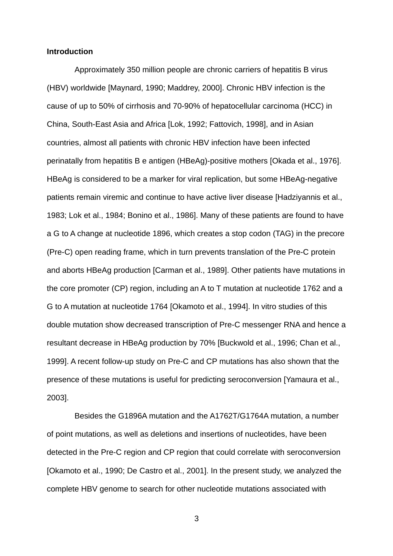#### **Introduction**

Approximately 350 million people are chronic carriers of hepatitis B virus (HBV) worldwide [Maynard, 1990; Maddrey, 2000]. Chronic HBV infection is the cause of up to 50% of cirrhosis and 70-90% of hepatocellular carcinoma (HCC) in China, South-East Asia and Africa [Lok, 1992; Fattovich, 1998], and in Asian countries, almost all patients with chronic HBV infection have been infected perinatally from hepatitis B e antigen (HBeAg)-positive mothers [Okada et al., 1976]. HBeAg is considered to be a marker for viral replication, but some HBeAg-negative patients remain viremic and continue to have active liver disease [Hadziyannis et al., 1983; Lok et al., 1984; Bonino et al., 1986]. Many of these patients are found to have a G to A change at nucleotide 1896, which creates a stop codon (TAG) in the precore (Pre-C) open reading frame, which in turn prevents translation of the Pre-C protein and aborts HBeAg production [Carman et al., 1989]. Other patients have mutations in the core promoter (CP) region, including an A to T mutation at nucleotide 1762 and a G to A mutation at nucleotide 1764 [Okamoto et al., 1994]. In vitro studies of this double mutation show decreased transcription of Pre-C messenger RNA and hence a resultant decrease in HBeAg production by 70% [Buckwold et al., 1996; Chan et al., 1999]. A recent follow-up study on Pre-C and CP mutations has also shown that the presence of these mutations is useful for predicting seroconversion [Yamaura et al., 2003].

Besides the G1896A mutation and the A1762T/G1764A mutation, a number of point mutations, as well as deletions and insertions of nucleotides, have been detected in the Pre-C region and CP region that could correlate with seroconversion [Okamoto et al., 1990; De Castro et al., 2001]. In the present study, we analyzed the complete HBV genome to search for other nucleotide mutations associated with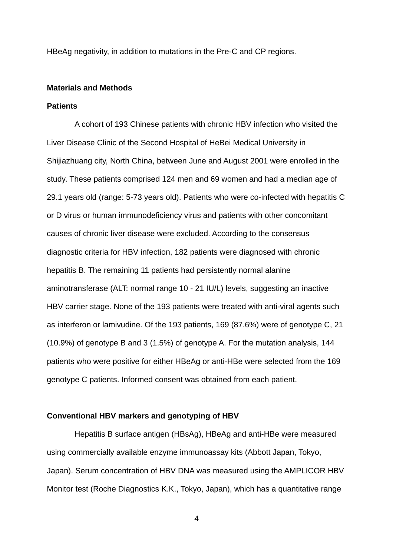HBeAg negativity, in addition to mutations in the Pre-C and CP regions.

#### **Materials and Methods**

#### **Patients**

A cohort of 193 Chinese patients with chronic HBV infection who visited the Liver Disease Clinic of the Second Hospital of HeBei Medical University in Shijiazhuang city, North China, between June and August 2001 were enrolled in the study. These patients comprised 124 men and 69 women and had a median age of 29.1 years old (range: 5-73 years old). Patients who were co-infected with hepatitis C or D virus or human immunodeficiency virus and patients with other concomitant causes of chronic liver disease were excluded. According to the consensus diagnostic criteria for HBV infection, 182 patients were diagnosed with chronic hepatitis B. The remaining 11 patients had persistently normal alanine aminotransferase (ALT: normal range 10 - 21 IU/L) levels, suggesting an inactive HBV carrier stage. None of the 193 patients were treated with anti-viral agents such as interferon or lamivudine. Of the 193 patients, 169 (87.6%) were of genotype C, 21 (10.9%) of genotype B and 3 (1.5%) of genotype A. For the mutation analysis, 144 patients who were positive for either HBeAg or anti-HBe were selected from the 169 genotype C patients. Informed consent was obtained from each patient.

### **Conventional HBV markers and genotyping of HBV**

Hepatitis B surface antigen (HBsAg), HBeAg and anti-HBe were measured using commercially available enzyme immunoassay kits (Abbott Japan, Tokyo, Japan). Serum concentration of HBV DNA was measured using the AMPLICOR HBV Monitor test (Roche Diagnostics K.K., Tokyo, Japan), which has a quantitative range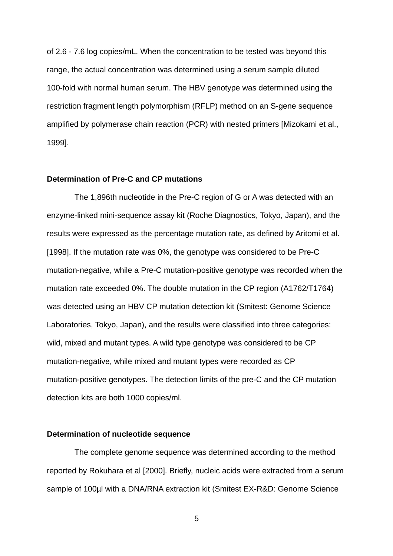of 2.6 - 7.6 log copies/mL. When the concentration to be tested was beyond this range, the actual concentration was determined using a serum sample diluted 100-fold with normal human serum. The HBV genotype was determined using the restriction fragment length polymorphism (RFLP) method on an S-gene sequence amplified by polymerase chain reaction (PCR) with nested primers [Mizokami et al., 1999].

#### **Determination of Pre-C and CP mutations**

The 1,896th nucleotide in the Pre-C region of G or A was detected with an enzyme-linked mini-sequence assay kit (Roche Diagnostics, Tokyo, Japan), and the results were expressed as the percentage mutation rate, as defined by Aritomi et al. [1998]. If the mutation rate was 0%, the genotype was considered to be Pre-C mutation-negative, while a Pre-C mutation-positive genotype was recorded when the mutation rate exceeded 0%. The double mutation in the CP region (A1762/T1764) was detected using an HBV CP mutation detection kit (Smitest: Genome Science Laboratories, Tokyo, Japan), and the results were classified into three categories: wild, mixed and mutant types. A wild type genotype was considered to be CP mutation-negative, while mixed and mutant types were recorded as CP mutation-positive genotypes. The detection limits of the pre-C and the CP mutation detection kits are both 1000 copies/ml.

#### **Determination of nucleotide sequence**

The complete genome sequence was determined according to the method reported by Rokuhara et al [2000]. Briefly, nucleic acids were extracted from a serum sample of 100µl with a DNA/RNA extraction kit (Smitest EX-R&D: Genome Science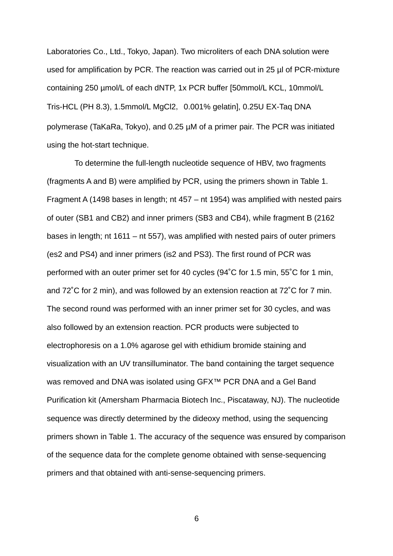Laboratories Co., Ltd., Tokyo, Japan). Two microliters of each DNA solution were used for amplification by PCR. The reaction was carried out in 25 µl of PCR-mixture containing 250 µmol/L of each dNTP, 1x PCR buffer [50mmol/L KCL, 10mmol/L Tris-HCL (PH 8.3), 1.5mmol/L MgCl2, 0.001% gelatin], 0.25U EX-Taq DNA polymerase (TaKaRa, Tokyo), and 0.25 µM of a primer pair. The PCR was initiated using the hot-start technique.

To determine the full-length nucleotide sequence of HBV, two fragments (fragments A and B) were amplified by PCR, using the primers shown in Table 1. Fragment A (1498 bases in length; nt 457 – nt 1954) was amplified with nested pairs of outer (SB1 and CB2) and inner primers (SB3 and CB4), while fragment B (2162 bases in length; nt 1611 – nt 557), was amplified with nested pairs of outer primers (es2 and PS4) and inner primers (is2 and PS3). The first round of PCR was performed with an outer primer set for 40 cycles (94˚C for 1.5 min, 55˚C for 1 min, and 72˚C for 2 min), and was followed by an extension reaction at 72˚C for 7 min. The second round was performed with an inner primer set for 30 cycles, and was also followed by an extension reaction. PCR products were subjected to electrophoresis on a 1.0% agarose gel with ethidium bromide staining and visualization with an UV transilluminator. The band containing the target sequence was removed and DNA was isolated using GFX™ PCR DNA and a Gel Band Purification kit (Amersham Pharmacia Biotech Inc., Piscataway, NJ). The nucleotide sequence was directly determined by the dideoxy method, using the sequencing primers shown in Table 1. The accuracy of the sequence was ensured by comparison of the sequence data for the complete genome obtained with sense-sequencing primers and that obtained with anti-sense-sequencing primers.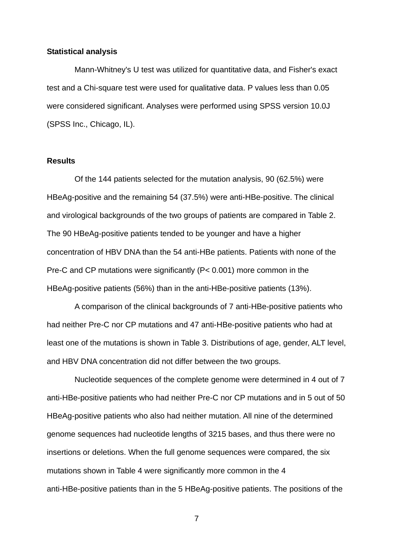#### **Statistical analysis**

Mann-Whitney's U test was utilized for quantitative data, and Fisher's exact test and a Chi-square test were used for qualitative data. P values less than 0.05 were considered significant. Analyses were performed using SPSS version 10.0J (SPSS Inc., Chicago, IL).

## **Results**

Of the 144 patients selected for the mutation analysis, 90 (62.5%) were HBeAg-positive and the remaining 54 (37.5%) were anti-HBe-positive. The clinical and virological backgrounds of the two groups of patients are compared in Table 2. The 90 HBeAg-positive patients tended to be younger and have a higher concentration of HBV DNA than the 54 anti-HBe patients. Patients with none of the Pre-C and CP mutations were significantly (P< 0.001) more common in the HBeAg-positive patients (56%) than in the anti-HBe-positive patients (13%).

A comparison of the clinical backgrounds of 7 anti-HBe-positive patients who had neither Pre-C nor CP mutations and 47 anti-HBe-positive patients who had at least one of the mutations is shown in Table 3. Distributions of age, gender, ALT level, and HBV DNA concentration did not differ between the two groups.

Nucleotide sequences of the complete genome were determined in 4 out of 7 anti-HBe-positive patients who had neither Pre-C nor CP mutations and in 5 out of 50 HBeAg-positive patients who also had neither mutation. All nine of the determined genome sequences had nucleotide lengths of 3215 bases, and thus there were no insertions or deletions. When the full genome sequences were compared, the six mutations shown in Table 4 were significantly more common in the 4 anti-HBe-positive patients than in the 5 HBeAg-positive patients. The positions of the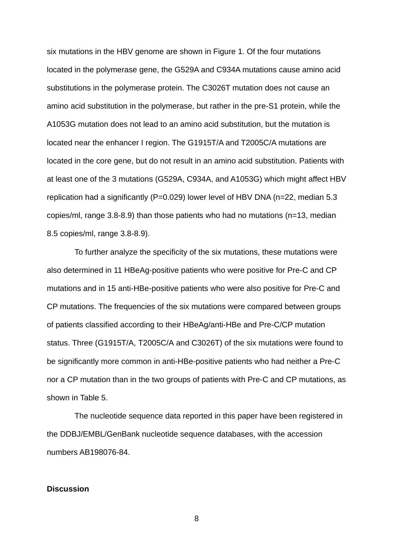six mutations in the HBV genome are shown in Figure 1. Of the four mutations located in the polymerase gene, the G529A and C934A mutations cause amino acid substitutions in the polymerase protein. The C3026T mutation does not cause an amino acid substitution in the polymerase, but rather in the pre-S1 protein, while the A1053G mutation does not lead to an amino acid substitution, but the mutation is located near the enhancer I region. The G1915T/A and T2005C/A mutations are located in the core gene, but do not result in an amino acid substitution. Patients with at least one of the 3 mutations (G529A, C934A, and A1053G) which might affect HBV replication had a significantly (P=0.029) lower level of HBV DNA (n=22, median 5.3 copies/ml, range 3.8-8.9) than those patients who had no mutations (n=13, median 8.5 copies/ml, range 3.8-8.9).

To further analyze the specificity of the six mutations, these mutations were also determined in 11 HBeAg-positive patients who were positive for Pre-C and CP mutations and in 15 anti-HBe-positive patients who were also positive for Pre-C and CP mutations. The frequencies of the six mutations were compared between groups of patients classified according to their HBeAg/anti-HBe and Pre-C/CP mutation status. Three (G1915T/A, T2005C/A and C3026T) of the six mutations were found to be significantly more common in anti-HBe-positive patients who had neither a Pre-C nor a CP mutation than in the two groups of patients with Pre-C and CP mutations, as shown in Table 5.

The nucleotide sequence data reported in this paper have been registered in the DDBJ/EMBL/GenBank nucleotide sequence databases, with the accession numbers AB198076-84.

#### **Discussion**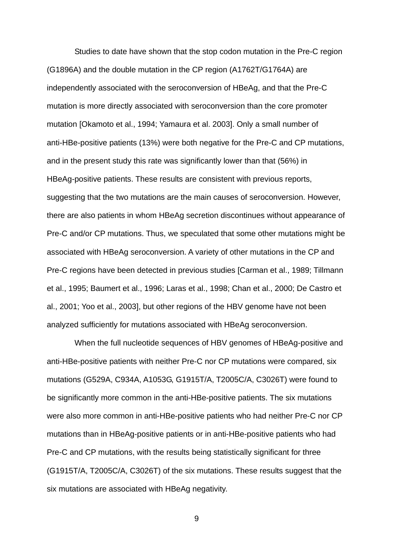Studies to date have shown that the stop codon mutation in the Pre-C region (G1896A) and the double mutation in the CP region (A1762T/G1764A) are independently associated with the seroconversion of HBeAg, and that the Pre-C mutation is more directly associated with seroconversion than the core promoter mutation [Okamoto et al., 1994; Yamaura et al. 2003]. Only a small number of anti-HBe-positive patients (13%) were both negative for the Pre-C and CP mutations, and in the present study this rate was significantly lower than that (56%) in HBeAg-positive patients. These results are consistent with previous reports, suggesting that the two mutations are the main causes of seroconversion. However, there are also patients in whom HBeAg secretion discontinues without appearance of Pre-C and/or CP mutations. Thus, we speculated that some other mutations might be associated with HBeAg seroconversion. A variety of other mutations in the CP and Pre-C regions have been detected in previous studies [Carman et al., 1989; Tillmann et al., 1995; Baumert et al., 1996; Laras et al., 1998; Chan et al., 2000; De Castro et al., 2001; Yoo et al., 2003], but other regions of the HBV genome have not been analyzed sufficiently for mutations associated with HBeAg seroconversion.

When the full nucleotide sequences of HBV genomes of HBeAg-positive and anti-HBe-positive patients with neither Pre-C nor CP mutations were compared, six mutations (G529A, C934A, A1053G, G1915T/A, T2005C/A, C3026T) were found to be significantly more common in the anti-HBe-positive patients. The six mutations were also more common in anti-HBe-positive patients who had neither Pre-C nor CP mutations than in HBeAg-positive patients or in anti-HBe-positive patients who had Pre-C and CP mutations, with the results being statistically significant for three (G1915T/A, T2005C/A, C3026T) of the six mutations. These results suggest that the six mutations are associated with HBeAg negativity.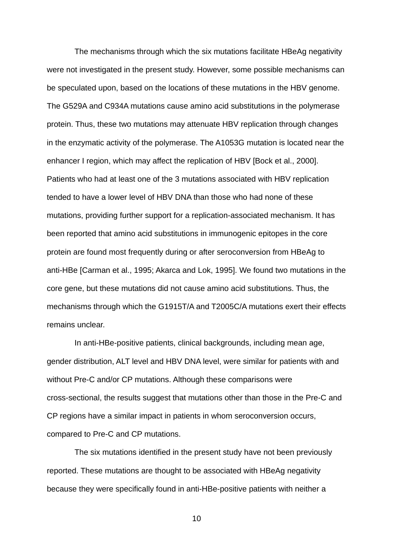The mechanisms through which the six mutations facilitate HBeAg negativity were not investigated in the present study. However, some possible mechanisms can be speculated upon, based on the locations of these mutations in the HBV genome. The G529A and C934A mutations cause amino acid substitutions in the polymerase protein. Thus, these two mutations may attenuate HBV replication through changes in the enzymatic activity of the polymerase. The A1053G mutation is located near the enhancer I region, which may affect the replication of HBV [Bock et al., 2000]. Patients who had at least one of the 3 mutations associated with HBV replication tended to have a lower level of HBV DNA than those who had none of these mutations, providing further support for a replication-associated mechanism. It has been reported that amino acid substitutions in immunogenic epitopes in the core protein are found most frequently during or after seroconversion from HBeAg to anti-HBe [Carman et al., 1995; Akarca and Lok, 1995]. We found two mutations in the core gene, but these mutations did not cause amino acid substitutions. Thus, the mechanisms through which the G1915T/A and T2005C/A mutations exert their effects remains unclear.

In anti-HBe-positive patients, clinical backgrounds, including mean age, gender distribution, ALT level and HBV DNA level, were similar for patients with and without Pre-C and/or CP mutations. Although these comparisons were cross-sectional, the results suggest that mutations other than those in the Pre-C and CP regions have a similar impact in patients in whom seroconversion occurs, compared to Pre-C and CP mutations.

The six mutations identified in the present study have not been previously reported. These mutations are thought to be associated with HBeAg negativity because they were specifically found in anti-HBe-positive patients with neither a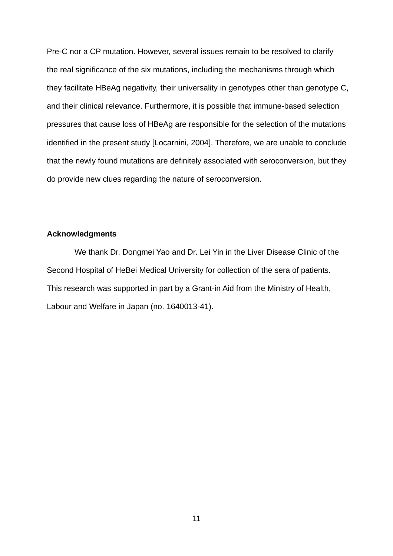Pre-C nor a CP mutation. However, several issues remain to be resolved to clarify the real significance of the six mutations, including the mechanisms through which they facilitate HBeAg negativity, their universality in genotypes other than genotype C, and their clinical relevance. Furthermore, it is possible that immune-based selection pressures that cause loss of HBeAg are responsible for the selection of the mutations identified in the present study [Locarnini, 2004]. Therefore, we are unable to conclude that the newly found mutations are definitely associated with seroconversion, but they do provide new clues regarding the nature of seroconversion.

#### **Acknowledgments**

We thank Dr. Dongmei Yao and Dr. Lei Yin in the Liver Disease Clinic of the Second Hospital of HeBei Medical University for collection of the sera of patients. This research was supported in part by a Grant-in Aid from the Ministry of Health, Labour and Welfare in Japan (no. 1640013-41).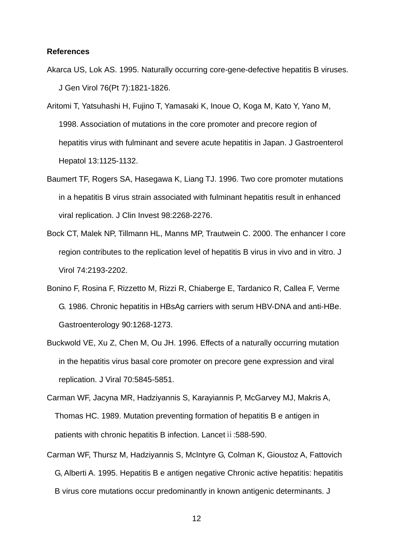#### **References**

- Akarca US, Lok AS. 1995. Naturally occurring core-gene-defective hepatitis B viruses. J Gen Virol 76(Pt 7):1821-1826.
- Aritomi T, Yatsuhashi H, Fujino T, Yamasaki K, Inoue O, Koga M, Kato Y, Yano M, 1998. Association of mutations in the core promoter and precore region of hepatitis virus with fulminant and severe acute hepatitis in Japan. J Gastroenterol Hepatol 13:1125-1132.
- Baumert TF, Rogers SA, Hasegawa K, Liang TJ. 1996. Two core promoter mutations in a hepatitis B virus strain associated with fulminant hepatitis result in enhanced viral replication. J Clin Invest 98:2268-2276.
- Bock CT, Malek NP, Tillmann HL, Manns MP, Trautwein C. 2000. The enhancer I core region contributes to the replication level of hepatitis B virus in vivo and in vitro. J Virol 74:2193-2202.
- Bonino F, Rosina F, Rizzetto M, Rizzi R, Chiaberge E, Tardanico R, Callea F, Verme G. 1986. Chronic hepatitis in HBsAg carriers with serum HBV-DNA and anti-HBe. Gastroenterology 90:1268-1273.
- Buckwold VE, Xu Z, Chen M, Ou JH. 1996. Effects of a naturally occurring mutation in the hepatitis virus basal core promoter on precore gene expression and viral replication. J Viral 70:5845-5851.
- Carman WF, Jacyna MR, Hadziyannis S, Karayiannis P, McGarvey MJ, Makris A, Thomas HC. 1989. Mutation preventing formation of hepatitis B e antigen in patients with chronic hepatitis B infection. Lancet ii: 588-590.
- Carman WF, Thursz M, Hadziyannis S, McIntyre G, Colman K, Gioustoz A, Fattovich G, Alberti A. 1995. Hepatitis B e antigen negative Chronic active hepatitis: hepatitis B virus core mutations occur predominantly in known antigenic determinants. J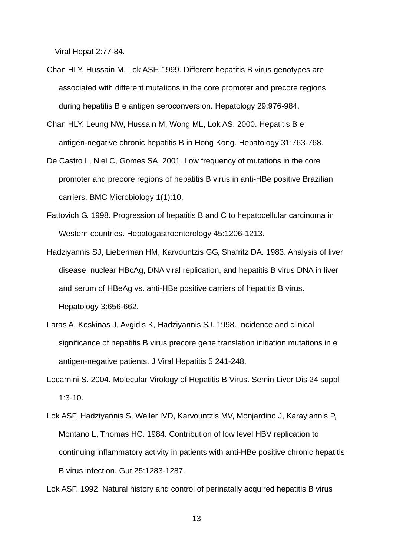Viral Hepat 2:77-84.

- Chan HLY, Hussain M, Lok ASF. 1999. Different hepatitis B virus genotypes are associated with different mutations in the core promoter and precore regions during hepatitis B e antigen seroconversion. Hepatology 29:976-984.
- Chan HLY, Leung NW, Hussain M, Wong ML, Lok AS. 2000. Hepatitis B e antigen-negative chronic hepatitis B in Hong Kong. Hepatology 31:763-768.
- De Castro L, Niel C, Gomes SA. 2001. Low frequency of mutations in the core promoter and precore regions of hepatitis B virus in anti-HBe positive Brazilian carriers. BMC Microbiology 1(1):10.
- Fattovich G. 1998. Progression of hepatitis B and C to hepatocellular carcinoma in Western countries. Hepatogastroenterology 45:1206-1213.
- Hadziyannis SJ, Lieberman HM, Karvountzis GG, Shafritz DA. 1983. Analysis of liver disease, nuclear HBcAg, DNA viral replication, and hepatitis B virus DNA in liver and serum of HBeAg vs. anti-HBe positive carriers of hepatitis B virus. Hepatology 3:656-662.
- Laras A, Koskinas J, Avgidis K, Hadziyannis SJ. 1998. Incidence and clinical significance of hepatitis B virus precore gene translation initiation mutations in e antigen-negative patients. J Viral Hepatitis 5:241-248.
- Locarnini S. 2004. Molecular Virology of Hepatitis B Virus. Semin Liver Dis 24 suppl 1:3-10.
- Lok ASF, Hadziyannis S, Weller IVD, Karvountzis MV, Monjardino J, Karayiannis P, Montano L, Thomas HC. 1984. Contribution of low level HBV replication to continuing inflammatory activity in patients with anti-HBe positive chronic hepatitis B virus infection. Gut 25:1283-1287.

Lok ASF. 1992. Natural history and control of perinatally acquired hepatitis B virus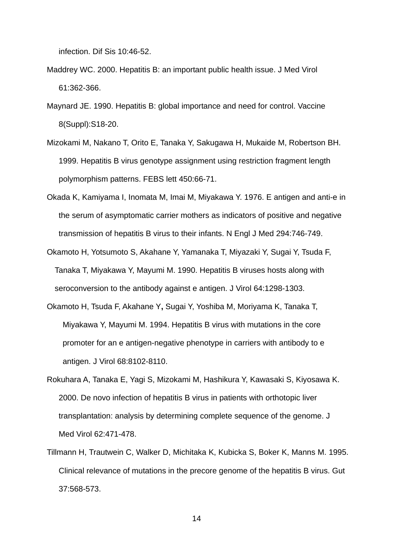infection. Dif Sis 10:46-52.

- Maddrey WC. 2000. Hepatitis B: an important public health issue. J Med Virol 61:362-366.
- Maynard JE. 1990. Hepatitis B: global importance and need for control. Vaccine 8(Suppl):S18-20.
- Mizokami M, Nakano T, Orito E, Tanaka Y, Sakugawa H, Mukaide M, Robertson BH. 1999. Hepatitis B virus genotype assignment using restriction fragment length polymorphism patterns. FEBS lett 450:66-71.
- Okada K, Kamiyama I, Inomata M, Imai M, Miyakawa Y. 1976. E antigen and anti-e in the serum of asymptomatic carrier mothers as indicators of positive and negative transmission of hepatitis B virus to their infants. N Engl J Med 294:746-749.
- Okamoto H, Yotsumoto S, Akahane Y, Yamanaka T, Miyazaki Y, Sugai Y, Tsuda F, Tanaka T, Miyakawa Y, Mayumi M. 1990. Hepatitis B viruses hosts along with seroconversion to the antibody against e antigen. J Virol 64:1298-1303.
- Okamoto H, Tsuda F, Akahane Y**,** Sugai Y, Yoshiba M, Moriyama K, Tanaka T, Miyakawa Y, Mayumi M. 1994. Hepatitis B virus with mutations in the core promoter for an e antigen-negative phenotype in carriers with antibody to e antigen. J Virol 68:8102-8110.
- Rokuhara A, Tanaka E, Yagi S, Mizokami M, Hashikura Y, Kawasaki S, Kiyosawa K. 2000. De novo infection of hepatitis B virus in patients with orthotopic liver transplantation: analysis by determining complete sequence of the genome. J Med Virol 62:471-478.
- Tillmann H, Trautwein C, Walker D, Michitaka K, Kubicka S, Boker K, Manns M. 1995. Clinical relevance of mutations in the precore genome of the hepatitis B virus. Gut 37:568-573.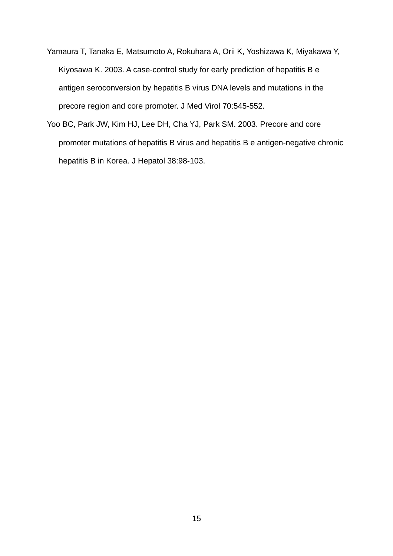- Yamaura T, Tanaka E, Matsumoto A, Rokuhara A, Orii K, Yoshizawa K, Miyakawa Y, Kiyosawa K. 2003. A case-control study for early prediction of hepatitis B e antigen seroconversion by hepatitis B virus DNA levels and mutations in the precore region and core promoter. J Med Virol 70:545-552.
- Yoo BC, Park JW, Kim HJ, Lee DH, Cha YJ, Park SM. 2003. Precore and core promoter mutations of hepatitis B virus and hepatitis B e antigen-negative chronic hepatitis B in Korea. J Hepatol 38:98-103.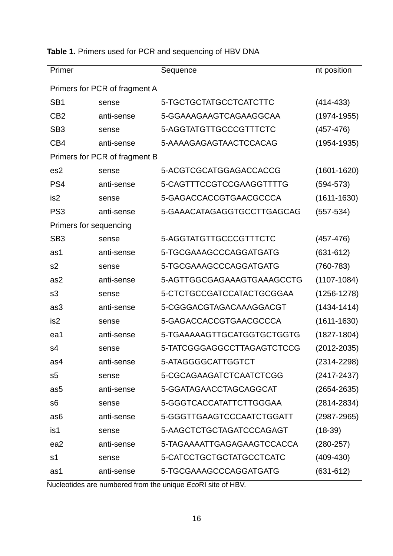| Primer                        |                               | Sequence                   | nt position     |
|-------------------------------|-------------------------------|----------------------------|-----------------|
| Primers for PCR of fragment A |                               |                            |                 |
| SB <sub>1</sub>               | sense                         | 5-TGCTGCTATGCCTCATCTTC     | $(414 - 433)$   |
| C <sub>B2</sub>               | anti-sense                    | 5-GGAAAGAAGTCAGAAGGCAA     | $(1974 - 1955)$ |
| SB <sub>3</sub>               | sense                         | 5-AGGTATGTTGCCCGTTTCTC     | $(457-476)$     |
| CB <sub>4</sub>               | anti-sense                    | 5-AAAAGAGAGTAACTCCACAG     | (1954-1935)     |
|                               | Primers for PCR of fragment B |                            |                 |
| es2                           | sense                         | 5-ACGTCGCATGGAGACCACCG     | $(1601 - 1620)$ |
| PS4                           | anti-sense                    | 5-CAGTTTCCGTCCGAAGGTTTTG   | $(594 - 573)$   |
| is2                           | sense                         | 5-GAGACCACCGTGAACGCCCA     | $(1611 - 1630)$ |
| PS <sub>3</sub>               | anti-sense                    | 5-GAAACATAGAGGTGCCTTGAGCAG | $(557 - 534)$   |
| Primers for sequencing        |                               |                            |                 |
| SB <sub>3</sub>               | sense                         | 5-AGGTATGTTGCCCGTTTCTC     | $(457-476)$     |
| as1                           | anti-sense                    | 5-TGCGAAAGCCCAGGATGATG     | $(631 - 612)$   |
| s <sub>2</sub>                | sense                         | 5-TGCGAAAGCCCAGGATGATG     | $(760 - 783)$   |
| as2                           | anti-sense                    | 5-AGTTGGCGAGAAAGTGAAAGCCTG | $(1107 - 1084)$ |
| s3                            | sense                         | 5-CTCTGCCGATCCATACTGCGGAA  | $(1256 - 1278)$ |
| as3                           | anti-sense                    | 5-CGGGACGTAGACAAAGGACGT    | $(1434 - 1414)$ |
| is <sub>2</sub>               | sense                         | 5-GAGACCACCGTGAACGCCCA     | $(1611 - 1630)$ |
| ea1                           | anti-sense                    | 5-TGAAAAAGTTGCATGGTGCTGGTG | $(1827 - 1804)$ |
| s4                            | sense                         | 5-TATCGGGAGGCCTTAGAGTCTCCG | $(2012 - 2035)$ |
| as4                           | anti-sense                    | 5-ATAGGGGCATTGGTCT         | (2314-2298)     |
| s5                            | sense                         | 5-CGCAGAAGATCTCAATCTCGG    | (2417-2437)     |
| as5                           | anti-sense                    | 5-GGATAGAACCTAGCAGGCAT     | $(2654 - 2635)$ |
| s <sub>6</sub>                | sense                         | 5-GGGTCACCATATTCTTGGGAA    | $(2814 - 2834)$ |
| as <sub>6</sub>               | anti-sense                    | 5-GGGTTGAAGTCCCAATCTGGATT  | $(2987 - 2965)$ |
| is1                           | sense                         | 5-AAGCTCTGCTAGATCCCAGAGT   | $(18-39)$       |
| ea2                           | anti-sense                    | 5-TAGAAAATTGAGAGAAGTCCACCA | $(280-257)$     |
| s <sub>1</sub>                | sense                         | 5-CATCCTGCTGCTATGCCTCATC   | $(409 - 430)$   |
| as1                           | anti-sense                    | 5-TGCGAAAGCCCAGGATGATG     | $(631-612)$     |

# **Table 1.** Primers used for PCR and sequencing of HBV DNA

Nucleotides are numbered from the unique *Eco*RI site of HBV.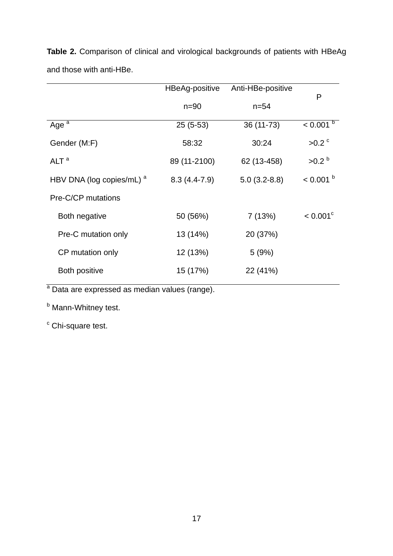|                                      | HBeAg-positive | Anti-HBe-positive | P                   |
|--------------------------------------|----------------|-------------------|---------------------|
|                                      | $n=90$         | $n = 54$          |                     |
| Age $\overline{a}$                   | $25(5-53)$     | 36 (11-73)        | $< 0.001$ b         |
| Gender (M:F)                         | 58:32          | 30:24             | $>0.2$ <sup>c</sup> |
| ALT <sup>a</sup>                     | 89 (11-2100)   | 62 (13-458)       | >0.2 <sup>b</sup>   |
| HBV DNA (log copies/mL) <sup>a</sup> | $8.3(4.4-7.9)$ | $5.0(3.2-8.8)$    | $< 0.001$ b         |
| Pre-C/CP mutations                   |                |                   |                     |
| Both negative                        | 50 (56%)       | 7(13%)            | $< 0.001^{\circ}$   |
| Pre-C mutation only                  | 13 (14%)       | 20 (37%)          |                     |
| CP mutation only                     | 12 (13%)       | 5(9%)             |                     |
| Both positive                        | 15 (17%)       | 22 (41%)          |                     |

**Table 2.** Comparison of clinical and virological backgrounds of patients with HBeAg and those with anti-HBe.

<sup>a</sup> Data are expressed as median values (range).

<sup>b</sup> Mann-Whitney test.

<sup>c</sup> Chi-square test.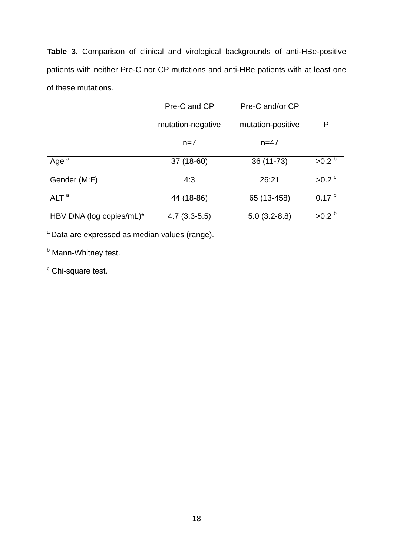**Table 3.** Comparison of clinical and virological backgrounds of anti-HBe-positive patients with neither Pre-C nor CP mutations and anti-HBe patients with at least one of these mutations.

|                          | Pre-C and CP      | Pre-C and/or CP   |                   |
|--------------------------|-------------------|-------------------|-------------------|
|                          | mutation-negative | mutation-positive | P                 |
|                          | $n=7$             | $n = 47$          |                   |
| Age $a$                  | 37 (18-60)        | 36 (11-73)        | >0.2 <sup>b</sup> |
| Gender (M:F)             | 4:3               | 26:21             | $>0.2$ $\degree$  |
| ALT <sup>a</sup>         | 44 (18-86)        | 65 (13-458)       | 0.17 <sup>b</sup> |
| HBV DNA (log copies/mL)* | $4.7(3.3-5.5)$    | $5.0(3.2-8.8)$    | $>0.2^{b}$        |

a Data are expressed as median values (range).

<sup>b</sup> Mann-Whitney test.

<sup>c</sup> Chi-square test.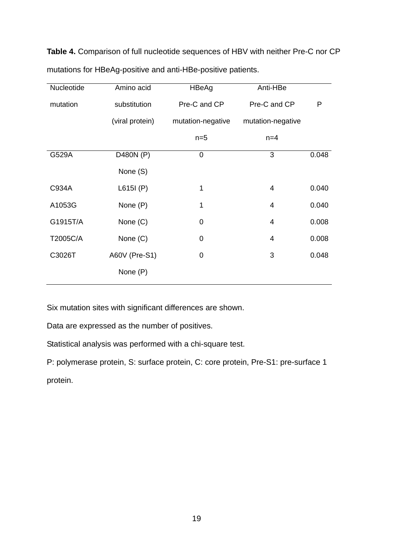**Table 4.** Comparison of full nucleotide sequences of HBV with neither Pre-C nor CP mutations for HBeAg-positive and anti-HBe-positive patients.

| Nucleotide | Amino acid      | HBeAg             | Anti-HBe          |       |
|------------|-----------------|-------------------|-------------------|-------|
| mutation   | substitution    | Pre-C and CP      | Pre-C and CP      | P     |
|            | (viral protein) | mutation-negative | mutation-negative |       |
|            |                 | $n=5$             | $n=4$             |       |
| G529A      | D480N (P)       | $\mathbf 0$       | 3                 | 0.048 |
|            | None (S)        |                   |                   |       |
| C934A      | L615I(P)        | 1                 | 4                 | 0.040 |
| A1053G     | None (P)        | 1                 | 4                 | 0.040 |
| G1915T/A   | None (C)        | $\mathbf 0$       | $\overline{4}$    | 0.008 |
| T2005C/A   | None (C)        | $\mathbf 0$       | 4                 | 0.008 |
| C3026T     | A60V (Pre-S1)   | 0                 | 3                 | 0.048 |
|            | None (P)        |                   |                   |       |

Six mutation sites with significant differences are shown.

Data are expressed as the number of positives.

Statistical analysis was performed with a chi-square test.

P: polymerase protein, S: surface protein, C: core protein, Pre-S1: pre-surface 1 protein.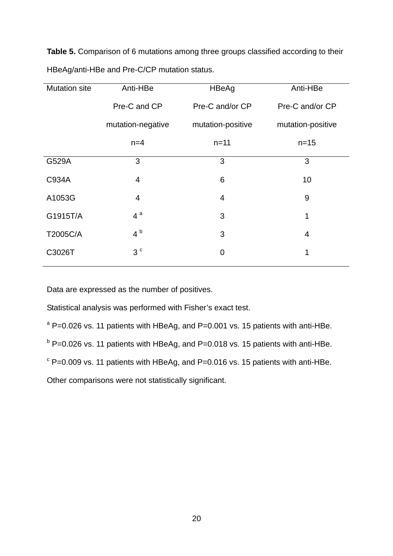**Table 5.** Comparison of 6 mutations among three groups classified according to their HBeAg/anti-HBe and Pre-C/CP mutation status.

| <b>Mutation site</b> | Anti-HBe          | HBeAg             | Anti-HBe          |
|----------------------|-------------------|-------------------|-------------------|
|                      | Pre-C and CP      | Pre-C and/or CP   | Pre-C and/or CP   |
|                      | mutation-negative | mutation-positive | mutation-positive |
|                      | $n=4$             | $n = 11$          | $n = 15$          |
| G529A                | 3                 | 3                 | 3                 |
| C934A                | $\overline{4}$    | 6                 | 10                |
| A1053G               | $\overline{4}$    | 4                 | 9                 |
| G1915T/A             | $4^a$             | 3                 | 1                 |
| T2005C/A             | 4 <sup>b</sup>    | 3                 | 4                 |
| C3026T               | 3 <sup>c</sup>    | $\overline{0}$    | 1                 |

Data are expressed as the number of positives.

Statistical analysis was performed with Fisher's exact test.

 $^{\circ}$  P=0.026 vs. 11 patients with HBeAg, and P=0.001 vs. 15 patients with anti-HBe.  $^{\rm b}$  P=0.026 vs. 11 patients with HBeAg, and P=0.018 vs. 15 patients with anti-HBe.

 $\textdegree$  P=0.009 vs. 11 patients with HBeAg, and P=0.016 vs. 15 patients with anti-HBe.

Other comparisons were not statistically significant.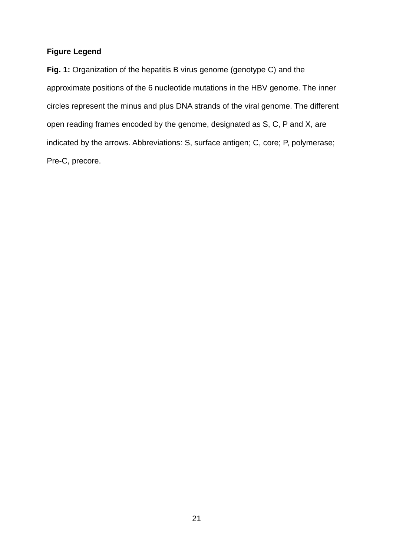# **Figure Legend**

**Fig. 1:** Organization of the hepatitis B virus genome (genotype C) and the approximate positions of the 6 nucleotide mutations in the HBV genome. The inner circles represent the minus and plus DNA strands of the viral genome. The different open reading frames encoded by the genome, designated as S, C, P and X, are indicated by the arrows. Abbreviations: S, surface antigen; C, core; P, polymerase; Pre-C, precore.